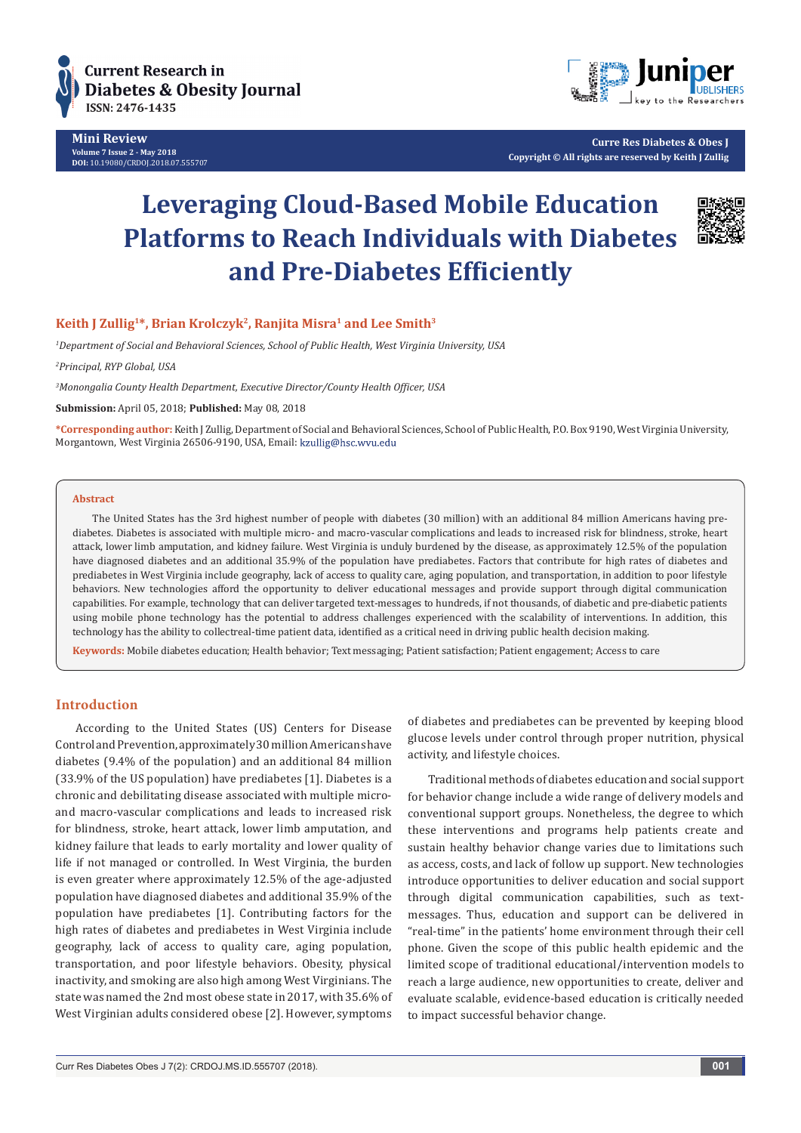

**Mini Review Volume 7 Issue 2 - May 2018 DOI:** [10.19080/CRDOJ.2018.07.555707](http://dx.doi.org/10.19080/CRDOJ.2018.07.555707)



**Curre Res Diabetes & Obes J Copyright © All rights are reserved by Keith J Zullig**

# **Leveraging Cloud-Based Mobile Education Platforms to Reach Individuals with Diabetes and Pre-Diabetes Efficiently**



# Keith J Zullig<sup>1\*</sup>, Brian Krolczyk<sup>2</sup>, Ranjita Misra<sup>1</sup> and Lee Smith<sup>3</sup>

*1 Department of Social and Behavioral Sciences, School of Public Health, West Virginia University, USA*

*2 Principal, RYP Global, USA*

*3 Monongalia County Health Department, Executive Director/County Health Officer, USA*

**Submission:** April 05, 2018; **Published:** May 08, 2018

**\*Corresponding author:** Keith J Zullig, Department of Social and Behavioral Sciences, School of Public Health, P.O. Box 9190, West Virginia University, Morgantown, West Virginia 26506-9190, USA, Email:

#### **Abstract**

The United States has the 3rd highest number of people with diabetes (30 million) with an additional 84 million Americans having prediabetes. Diabetes is associated with multiple micro- and macro-vascular complications and leads to increased risk for blindness, stroke, heart attack, lower limb amputation, and kidney failure. West Virginia is unduly burdened by the disease, as approximately 12.5% of the population have diagnosed diabetes and an additional 35.9% of the population have prediabetes. Factors that contribute for high rates of diabetes and prediabetes in West Virginia include geography, lack of access to quality care, aging population, and transportation, in addition to poor lifestyle behaviors. New technologies afford the opportunity to deliver educational messages and provide support through digital communication capabilities. For example, technology that can deliver targeted text-messages to hundreds, if not thousands, of diabetic and pre-diabetic patients using mobile phone technology has the potential to address challenges experienced with the scalability of interventions. In addition, this technology has the ability to collectreal-time patient data, identified as a critical need in driving public health decision making.

**Keywords:** Mobile diabetes education; Health behavior; Text messaging; Patient satisfaction; Patient engagement; Access to care

## **Introduction**

According to the United States (US) Centers for Disease Control and Prevention, approximately 30 million Americans have diabetes (9.4% of the population) and an additional 84 million (33.9% of the US population) have prediabetes [1]. Diabetes is a chronic and debilitating disease associated with multiple microand macro-vascular complications and leads to increased risk for blindness, stroke, heart attack, lower limb amputation, and kidney failure that leads to early mortality and lower quality of life if not managed or controlled. In West Virginia, the burden is even greater where approximately 12.5% of the age-adjusted population have diagnosed diabetes and additional 35.9% of the population have prediabetes [1]. Contributing factors for the high rates of diabetes and prediabetes in West Virginia include geography, lack of access to quality care, aging population, transportation, and poor lifestyle behaviors. Obesity, physical inactivity, and smoking are also high among West Virginians. The state was named the 2nd most obese state in 2017, with 35.6% of West Virginian adults considered obese [2]. However, symptoms

of diabetes and prediabetes can be prevented by keeping blood glucose levels under control through proper nutrition, physical activity, and lifestyle choices.

Traditional methods of diabetes education and social support for behavior change include a wide range of delivery models and conventional support groups. Nonetheless, the degree to which these interventions and programs help patients create and sustain healthy behavior change varies due to limitations such as access, costs, and lack of follow up support. New technologies introduce opportunities to deliver education and social support through digital communication capabilities, such as textmessages. Thus, education and support can be delivered in "real-time" in the patients' home environment through their cell phone. Given the scope of this public health epidemic and the limited scope of traditional educational/intervention models to reach a large audience, new opportunities to create, deliver and evaluate scalable, evidence-based education is critically needed to impact successful behavior change.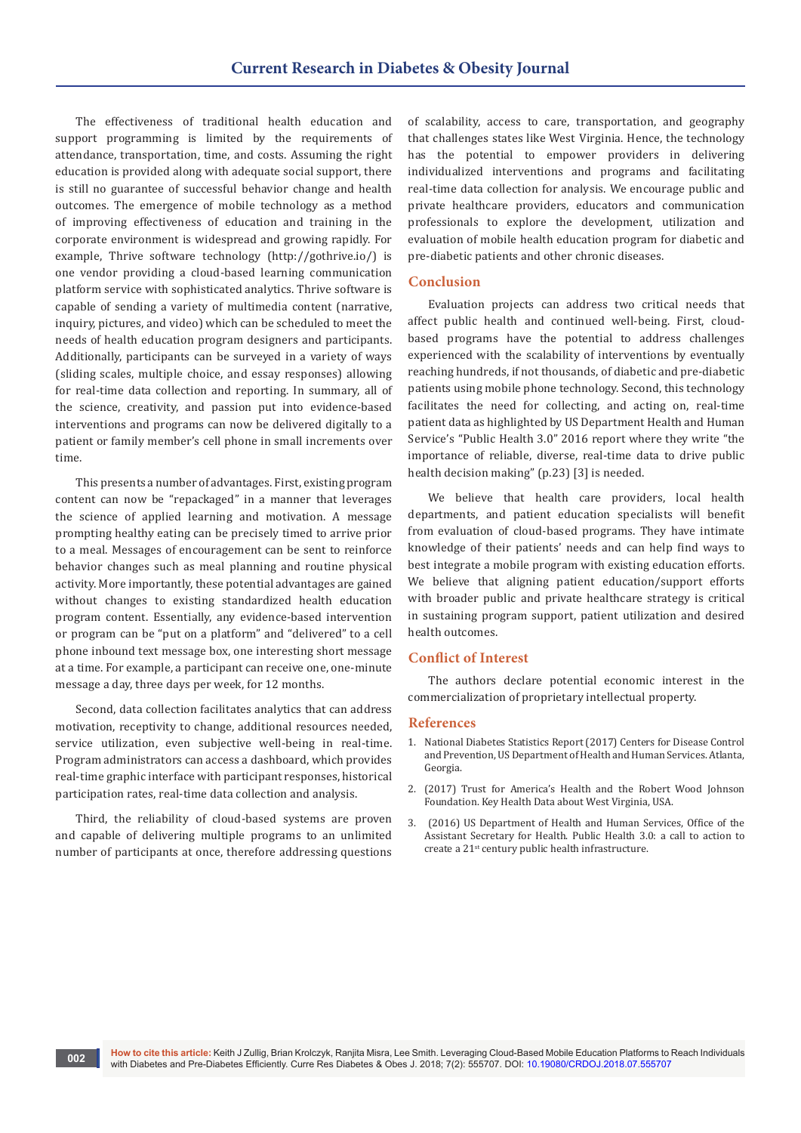The effectiveness of traditional health education and support programming is limited by the requirements of attendance, transportation, time, and costs. Assuming the right education is provided along with adequate social support, there is still no guarantee of successful behavior change and health outcomes. The emergence of mobile technology as a method of improving effectiveness of education and training in the corporate environment is widespread and growing rapidly. For example, Thrive software technology (http://gothrive.io/) is one vendor providing a cloud-based learning communication platform service with sophisticated analytics. Thrive software is capable of sending a variety of multimedia content (narrative, inquiry, pictures, and video) which can be scheduled to meet the needs of health education program designers and participants. Additionally, participants can be surveyed in a variety of ways (sliding scales, multiple choice, and essay responses) allowing for real-time data collection and reporting. In summary, all of the science, creativity, and passion put into evidence-based interventions and programs can now be delivered digitally to a patient or family member's cell phone in small increments over time.

This presents a number of advantages. First, existing program content can now be "repackaged" in a manner that leverages the science of applied learning and motivation. A message prompting healthy eating can be precisely timed to arrive prior to a meal. Messages of encouragement can be sent to reinforce behavior changes such as meal planning and routine physical activity. More importantly, these potential advantages are gained without changes to existing standardized health education program content. Essentially, any evidence-based intervention or program can be "put on a platform" and "delivered" to a cell phone inbound text message box, one interesting short message at a time. For example, a participant can receive one, one-minute message a day, three days per week, for 12 months.

Second, data collection facilitates analytics that can address motivation, receptivity to change, additional resources needed, service utilization, even subjective well-being in real-time. Program administrators can access a dashboard, which provides real-time graphic interface with participant responses, historical participation rates, real-time data collection and analysis.

Third, the reliability of cloud-based systems are proven and capable of delivering multiple programs to an unlimited number of participants at once, therefore addressing questions of scalability, access to care, transportation, and geography that challenges states like West Virginia. Hence, the technology has the potential to empower providers in delivering individualized interventions and programs and facilitating real-time data collection for analysis. We encourage public and private healthcare providers, educators and communication professionals to explore the development, utilization and evaluation of mobile health education program for diabetic and pre-diabetic patients and other chronic diseases.

## **Conclusion**

Evaluation projects can address two critical needs that affect public health and continued well-being. First, cloudbased programs have the potential to address challenges experienced with the scalability of interventions by eventually reaching hundreds, if not thousands, of diabetic and pre-diabetic patients using mobile phone technology. Second, this technology facilitates the need for collecting, and acting on, real-time patient data as highlighted by US Department Health and Human Service's "Public Health 3.0" 2016 report where they write "the importance of reliable, diverse, real-time data to drive public health decision making" (p.23) [3] is needed.

We believe that health care providers, local health departments, and patient education specialists will benefit from evaluation of cloud-based programs. They have intimate knowledge of their patients' needs and can help find ways to best integrate a mobile program with existing education efforts. We believe that aligning patient education/support efforts with broader public and private healthcare strategy is critical in sustaining program support, patient utilization and desired health outcomes.

## **Conflict of Interest**

The authors declare potential economic interest in the commercialization of proprietary intellectual property.

#### **References**

- 1. [National Diabetes Statistics Report \(2017\) Centers for Disease Control](https://www.cdc.gov/diabetes/pdfs/data/statistics/national-diabetes-statistics-report.pdf)  [and Prevention, US Department of Health and Human Services. Atlanta,](https://www.cdc.gov/diabetes/pdfs/data/statistics/national-diabetes-statistics-report.pdf)  [Georgia.](https://www.cdc.gov/diabetes/pdfs/data/statistics/national-diabetes-statistics-report.pdf)
- 2. [\(2017\) Trust for America's Health and the Robert Wood Johnson](http://healthyamericans.org/states/?stateid=WV)  [Foundation. Key Health Data about West Virginia, USA.](http://healthyamericans.org/states/?stateid=WV)
- 3. [\(2016\) US Department of Health and Human Services, Office of the](https://www.healthypeople.gov/sites/default/files/Public-Health-3.0-White-Paper.pdf)  [Assistant Secretary for Health. Public Health 3.0: a call to action to](https://www.healthypeople.gov/sites/default/files/Public-Health-3.0-White-Paper.pdf)  [create a 21st century public health infrastructure.](https://www.healthypeople.gov/sites/default/files/Public-Health-3.0-White-Paper.pdf)